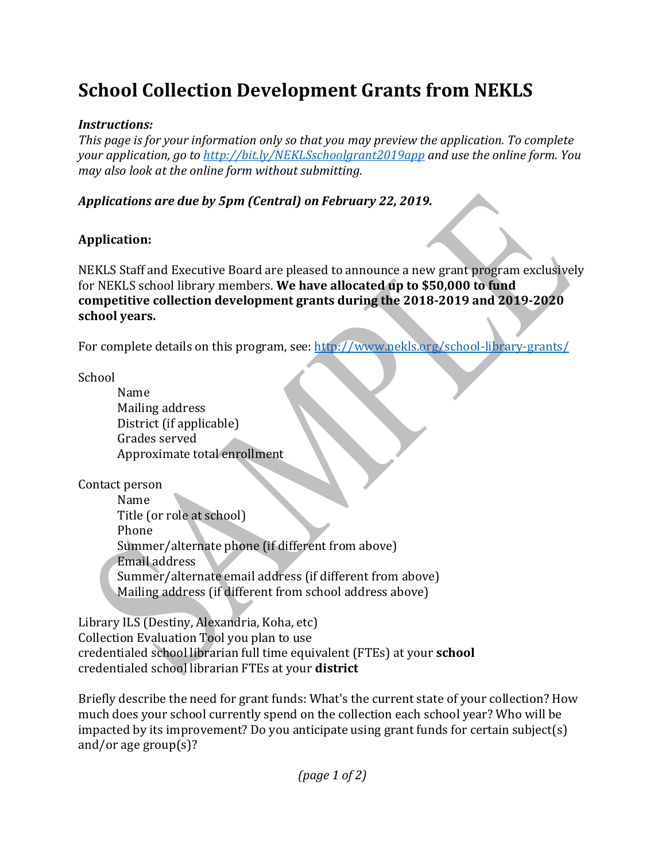# **School Collection Development Grants from NEKLS**

#### *Instructions:*

*This* page is for your information only so that you may preview the application. To complete *your application, go to http://bit.ly/NEKLSschoolgrant2019app* and use the online form. You *may also look at the online form without submitting.* 

### Applications are due by 5pm (Central) on February 22, 2019.

## **Application:**

NEKLS Staff and Executive Board are pleased to announce a new grant program exclusively for NEKLS school library members. We have allocated up to \$50,000 to fund competitive collection development grants during the 2018-2019 and 2019-2020 **school years.**

For complete details on this program, see: http://www.nekls.org/school-library-grants/

School 

Name Mailing address District (if applicable) Grades served Approximate total enrollment

Contact person

Name Title (or role at school) Phone Summer/alternate phone (if different from above) Email address Summer/alternate email address (if different from above) Mailing address (if different from school address above)

Library ILS (Destiny, Alexandria, Koha, etc) Collection Evaluation Tool you plan to use credentialed school librarian full time equivalent (FTEs) at your **school** credentialed school librarian FTEs at your **district**

Briefly describe the need for grant funds: What's the current state of your collection? How much does your school currently spend on the collection each school year? Who will be impacted by its improvement? Do you anticipate using grant funds for certain subject(s) and/or age group(s)?

*(page 1 of 2)*